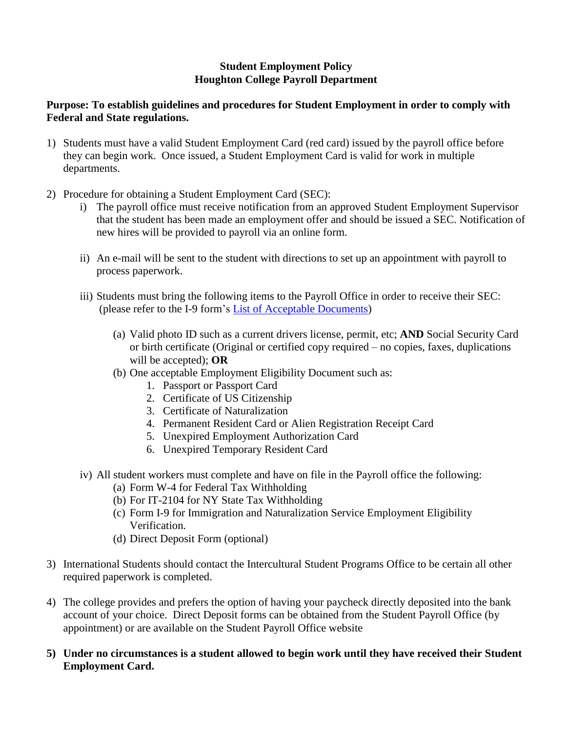## **Student Employment Policy Houghton College Payroll Department**

## **Purpose: To establish guidelines and procedures for Student Employment in order to comply with Federal and State regulations.**

- 1) Students must have a valid Student Employment Card (red card) issued by the payroll office before they can begin work. Once issued, a Student Employment Card is valid for work in multiple departments.
- 2) Procedure for obtaining a Student Employment Card (SEC):
	- i) The payroll office must receive notification from an approved Student Employment Supervisor that the student has been made an employment offer and should be issued a SEC. Notification of new hires will be provided to payroll via an online form.
	- ii) An e-mail will be sent to the student with directions to set up an appointment with payroll to process paperwork.
	- iii) Students must bring the following items to the Payroll Office in order to receive their SEC: (please refer to the I-9 form's [List of Acceptable Documents\)](https://www.houghton.edu/wp-content/uploads/2020/05/I-9-acceptable-documents-2020.pdf)
		- (a) Valid photo ID such as a current drivers license, permit, etc; **AND** Social Security Card or birth certificate (Original or certified copy required – no copies, faxes, duplications will be accepted); **OR**
		- (b) One acceptable Employment Eligibility Document such as:
			- 1. Passport or Passport Card
			- 2. Certificate of US Citizenship
			- 3. Certificate of Naturalization
			- 4. Permanent Resident Card or Alien Registration Receipt Card
			- 5. Unexpired Employment Authorization Card
			- 6. Unexpired Temporary Resident Card
	- iv) All student workers must complete and have on file in the Payroll office the following:
		- (a) Form W-4 for Federal Tax Withholding
		- (b) For IT-2104 for NY State Tax Withholding
		- (c) Form I-9 for Immigration and Naturalization Service Employment Eligibility Verification.
		- (d) Direct Deposit Form (optional)
- 3) International Students should contact the Intercultural Student Programs Office to be certain all other required paperwork is completed.
- 4) The college provides and prefers the option of having your paycheck directly deposited into the bank account of your choice. Direct Deposit forms can be obtained from the Student Payroll Office (by appointment) or are available on the Student Payroll Office website
- **5) Under no circumstances is a student allowed to begin work until they have received their Student Employment Card.**